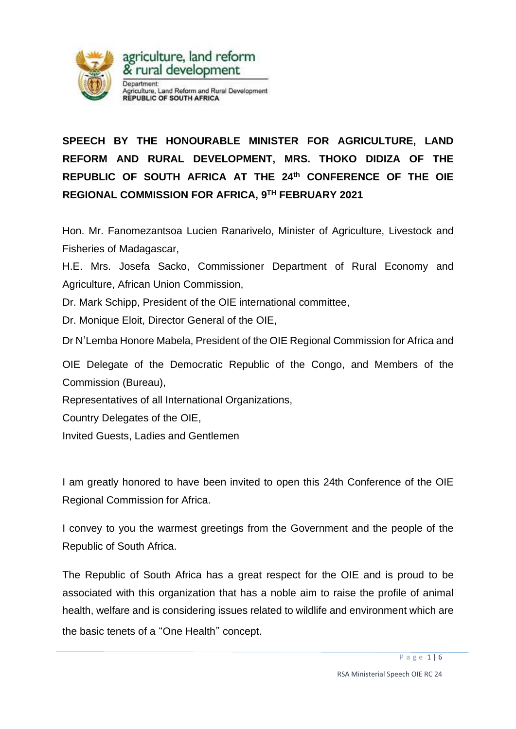

## **SPEECH BY THE HONOURABLE MINISTER FOR AGRICULTURE, LAND REFORM AND RURAL DEVELOPMENT, MRS. THOKO DIDIZA OF THE REPUBLIC OF SOUTH AFRICA AT THE 24th CONFERENCE OF THE OIE REGIONAL COMMISSION FOR AFRICA, 9 TH FEBRUARY 2021**

Hon. Mr. Fanomezantsoa Lucien Ranarivelo, Minister of Agriculture, Livestock and Fisheries of Madagascar,

H.E. Mrs. Josefa Sacko, Commissioner Department of Rural Economy and Agriculture, African Union Commission,

Dr. Mark Schipp, President of the OIE international committee,

Dr. Monique Eloit, Director General of the OIE,

Dr N'Lemba Honore Mabela, President of the OIE Regional Commission for Africa and

OIE Delegate of the Democratic Republic of the Congo, and Members of the Commission (Bureau),

Representatives of all International Organizations,

Country Delegates of the OIE,

Invited Guests, Ladies and Gentlemen

I am greatly honored to have been invited to open this 24th Conference of the OIE Regional Commission for Africa.

I convey to you the warmest greetings from the Government and the people of the Republic of South Africa.

The Republic of South Africa has a great respect for the OIE and is proud to be associated with this organization that has a noble aim to raise the profile of animal health, welfare and is considering issues related to wildlife and environment which are the basic tenets of a "One Health" concept.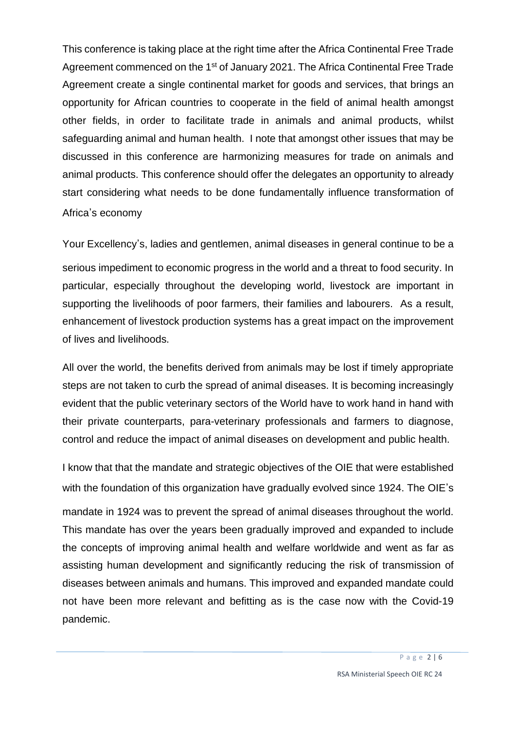This conference is taking place at the right time after the Africa Continental Free Trade Agreement commenced on the 1<sup>st</sup> of January 2021. The Africa Continental Free Trade Agreement create a single continental market for goods and services, that brings an opportunity for African countries to cooperate in the field of animal health amongst other fields, in order to facilitate trade in animals and animal products, whilst safeguarding animal and human health. I note that amongst other issues that may be discussed in this conference are harmonizing measures for trade on animals and animal products. This conference should offer the delegates an opportunity to already start considering what needs to be done fundamentally influence transformation of Africa's economy

Your Excellency's, ladies and gentlemen, animal diseases in general continue to be a serious impediment to economic progress in the world and a threat to food security. In particular, especially throughout the developing world, livestock are important in supporting the livelihoods of poor farmers, their families and labourers. As a result, enhancement of livestock production systems has a great impact on the improvement of lives and livelihoods.

All over the world, the benefits derived from animals may be lost if timely appropriate steps are not taken to curb the spread of animal diseases. It is becoming increasingly evident that the public veterinary sectors of the World have to work hand in hand with their private counterparts, para-veterinary professionals and farmers to diagnose, control and reduce the impact of animal diseases on development and public health.

I know that that the mandate and strategic objectives of the OIE that were established with the foundation of this organization have gradually evolved since 1924. The OIE's mandate in 1924 was to prevent the spread of animal diseases throughout the world. This mandate has over the years been gradually improved and expanded to include the concepts of improving animal health and welfare worldwide and went as far as assisting human development and significantly reducing the risk of transmission of diseases between animals and humans. This improved and expanded mandate could not have been more relevant and befitting as is the case now with the Covid-19 pandemic.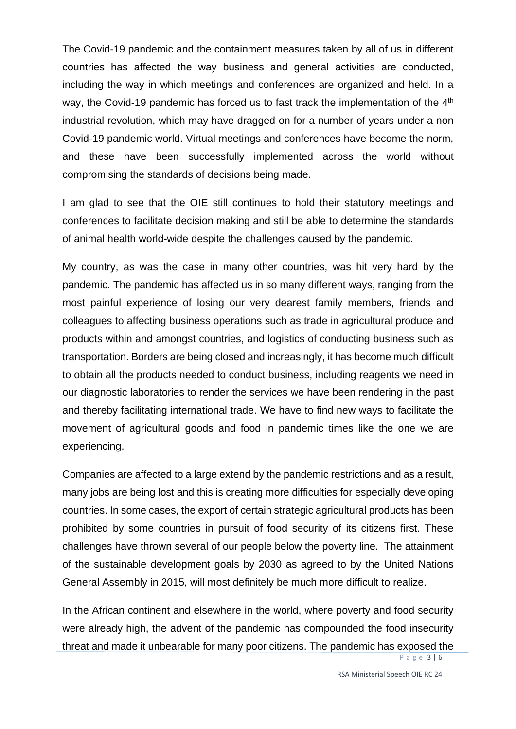The Covid-19 pandemic and the containment measures taken by all of us in different countries has affected the way business and general activities are conducted, including the way in which meetings and conferences are organized and held. In a way, the Covid-19 pandemic has forced us to fast track the implementation of the 4<sup>th</sup> industrial revolution, which may have dragged on for a number of years under a non Covid-19 pandemic world. Virtual meetings and conferences have become the norm, and these have been successfully implemented across the world without compromising the standards of decisions being made.

I am glad to see that the OIE still continues to hold their statutory meetings and conferences to facilitate decision making and still be able to determine the standards of animal health world-wide despite the challenges caused by the pandemic.

My country, as was the case in many other countries, was hit very hard by the pandemic. The pandemic has affected us in so many different ways, ranging from the most painful experience of losing our very dearest family members, friends and colleagues to affecting business operations such as trade in agricultural produce and products within and amongst countries, and logistics of conducting business such as transportation. Borders are being closed and increasingly, it has become much difficult to obtain all the products needed to conduct business, including reagents we need in our diagnostic laboratories to render the services we have been rendering in the past and thereby facilitating international trade. We have to find new ways to facilitate the movement of agricultural goods and food in pandemic times like the one we are experiencing.

Companies are affected to a large extend by the pandemic restrictions and as a result, many jobs are being lost and this is creating more difficulties for especially developing countries. In some cases, the export of certain strategic agricultural products has been prohibited by some countries in pursuit of food security of its citizens first. These challenges have thrown several of our people below the poverty line. The attainment of the sustainable development goals by 2030 as agreed to by the United Nations General Assembly in 2015, will most definitely be much more difficult to realize.

In the African continent and elsewhere in the world, where poverty and food security were already high, the advent of the pandemic has compounded the food insecurity threat and made it unbearable for many poor citizens. The pandemic has exposed the

P a g e 3 | 6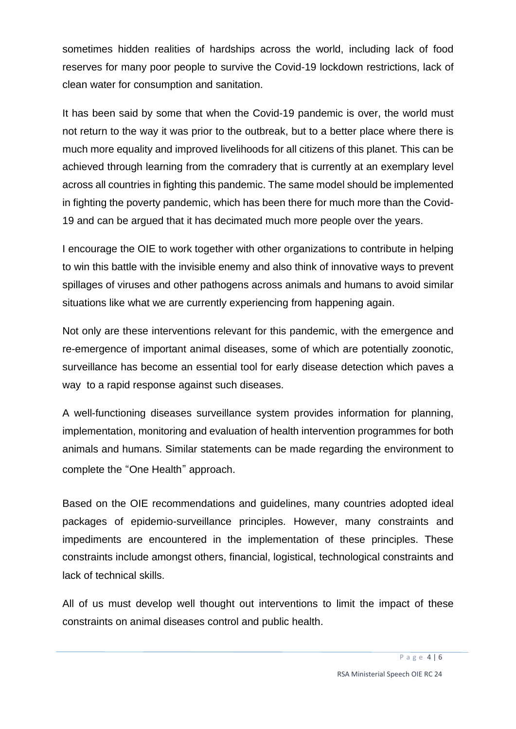sometimes hidden realities of hardships across the world, including lack of food reserves for many poor people to survive the Covid-19 lockdown restrictions, lack of clean water for consumption and sanitation.

It has been said by some that when the Covid-19 pandemic is over, the world must not return to the way it was prior to the outbreak, but to a better place where there is much more equality and improved livelihoods for all citizens of this planet. This can be achieved through learning from the comradery that is currently at an exemplary level across all countries in fighting this pandemic. The same model should be implemented in fighting the poverty pandemic, which has been there for much more than the Covid-19 and can be argued that it has decimated much more people over the years.

I encourage the OIE to work together with other organizations to contribute in helping to win this battle with the invisible enemy and also think of innovative ways to prevent spillages of viruses and other pathogens across animals and humans to avoid similar situations like what we are currently experiencing from happening again.

Not only are these interventions relevant for this pandemic, with the emergence and re-emergence of important animal diseases, some of which are potentially zoonotic, surveillance has become an essential tool for early disease detection which paves a way to a rapid response against such diseases.

A well-functioning diseases surveillance system provides information for planning, implementation, monitoring and evaluation of health intervention programmes for both animals and humans. Similar statements can be made regarding the environment to complete the "One Health" approach.

Based on the OIE recommendations and guidelines, many countries adopted ideal packages of epidemio-surveillance principles. However, many constraints and impediments are encountered in the implementation of these principles. These constraints include amongst others, financial, logistical, technological constraints and lack of technical skills.

All of us must develop well thought out interventions to limit the impact of these constraints on animal diseases control and public health.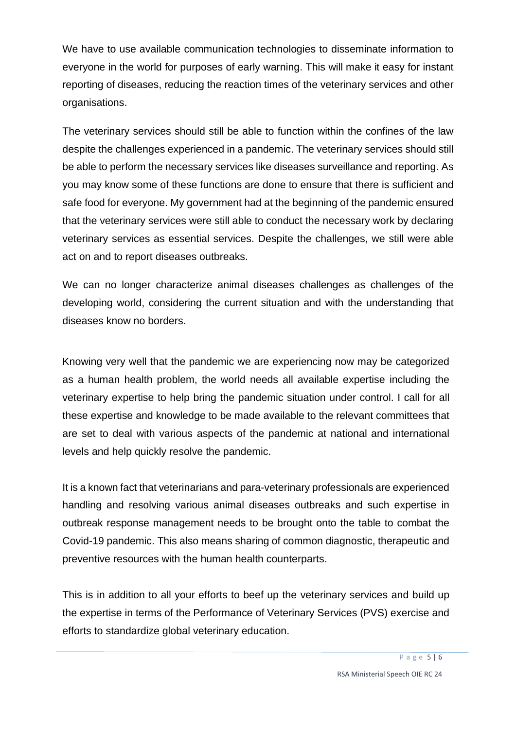We have to use available communication technologies to disseminate information to everyone in the world for purposes of early warning. This will make it easy for instant reporting of diseases, reducing the reaction times of the veterinary services and other organisations.

The veterinary services should still be able to function within the confines of the law despite the challenges experienced in a pandemic. The veterinary services should still be able to perform the necessary services like diseases surveillance and reporting. As you may know some of these functions are done to ensure that there is sufficient and safe food for everyone. My government had at the beginning of the pandemic ensured that the veterinary services were still able to conduct the necessary work by declaring veterinary services as essential services. Despite the challenges, we still were able act on and to report diseases outbreaks.

We can no longer characterize animal diseases challenges as challenges of the developing world, considering the current situation and with the understanding that diseases know no borders.

Knowing very well that the pandemic we are experiencing now may be categorized as a human health problem, the world needs all available expertise including the veterinary expertise to help bring the pandemic situation under control. I call for all these expertise and knowledge to be made available to the relevant committees that are set to deal with various aspects of the pandemic at national and international levels and help quickly resolve the pandemic.

It is a known fact that veterinarians and para-veterinary professionals are experienced handling and resolving various animal diseases outbreaks and such expertise in outbreak response management needs to be brought onto the table to combat the Covid-19 pandemic. This also means sharing of common diagnostic, therapeutic and preventive resources with the human health counterparts.

This is in addition to all your efforts to beef up the veterinary services and build up the expertise in terms of the Performance of Veterinary Services (PVS) exercise and efforts to standardize global veterinary education.